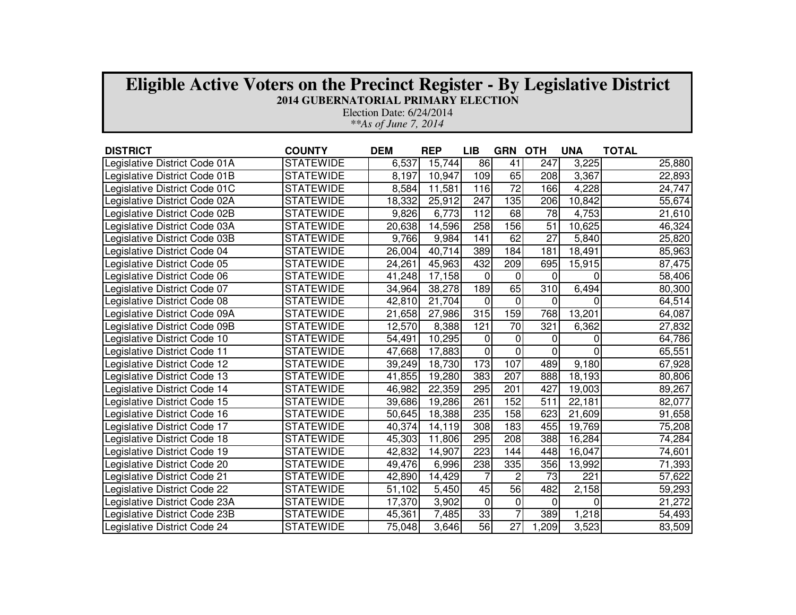| <b>Eligible Active Voters on the Precinct Register - By Legislative District</b><br><b>2014 GUBERNATORIAL PRIMARY ELECTION</b><br>Election Date: 6/24/2014 |                  |            |            |            |                |                  |            |              |  |  |  |
|------------------------------------------------------------------------------------------------------------------------------------------------------------|------------------|------------|------------|------------|----------------|------------------|------------|--------------|--|--|--|
| **As of June 7, 2014                                                                                                                                       |                  |            |            |            |                |                  |            |              |  |  |  |
|                                                                                                                                                            |                  |            |            |            |                |                  |            |              |  |  |  |
| <b>DISTRICT</b>                                                                                                                                            | <b>COUNTY</b>    | <b>DEM</b> | <b>REP</b> | <b>LIB</b> | <b>GRN</b>     | <b>OTH</b>       | <b>UNA</b> | <b>TOTAL</b> |  |  |  |
| Legislative District Code 01A                                                                                                                              | <b>STATEWIDE</b> | 6,537      | 15,744     | 86         | 41             | 247              | 3,225      | 25,880       |  |  |  |
| Legislative District Code 01B                                                                                                                              | <b>STATEWIDE</b> | 8,197      | 10,947     | 109        | 65             | 208              | 3,367      | 22,893       |  |  |  |
| Legislative District Code 01C                                                                                                                              | <b>STATEWIDE</b> | 8,584      | 11,581     | 116        | 72             | 166              | 4,228      | 24,747       |  |  |  |
| Legislative District Code 02A                                                                                                                              | <b>STATEWIDE</b> | 18,332     | 25,912     | 247        | 135            | 206              | 10,842     | 55,674       |  |  |  |
| Legislative District Code 02B                                                                                                                              | <b>STATEWIDE</b> | 9,826      | 6,773      | 112        | 68             | 78               | 4,753      | 21,610       |  |  |  |
| Legislative District Code 03A                                                                                                                              | <b>STATEWIDE</b> | 20,638     | 14,596     | 258        | 156            | $\overline{51}$  | 10,625     | 46,324       |  |  |  |
| Legislative District Code 03B                                                                                                                              | <b>STATEWIDE</b> | 9,766      | 9,984      | 141        | 62             | $\overline{27}$  | 5,840      | 25,820       |  |  |  |
| Legislative District Code 04                                                                                                                               | <b>STATEWIDE</b> | 26,004     | 40,714     | 389        | 184            | 181              | 18,491     | 85,963       |  |  |  |
| Legislative District Code 05                                                                                                                               | <b>STATEWIDE</b> | 24,261     | 45,963     | 432        | 209            | 695              | 15,915     | 87,475       |  |  |  |
| Legislative District Code 06                                                                                                                               | <b>STATEWIDE</b> | 41,248     | 17,158     | $\Omega$   | $\Omega$       | $\Omega$         | $\Omega$   | 58,406       |  |  |  |
| Legislative District Code 07                                                                                                                               | <b>STATEWIDE</b> | 34,964     | 38,278     | 189        | 65             | $\overline{310}$ | 6,494      | 80,300       |  |  |  |
| Legislative District Code 08                                                                                                                               | <b>STATEWIDE</b> | 42,810     | 21,704     | $\Omega$   | 0              | 0                | $\Omega$   | 64,514       |  |  |  |
| Legislative District Code 09A                                                                                                                              | <b>STATEWIDE</b> | 21,658     | 27,986     | 315        | 159            | 768              | 13,201     | 64,087       |  |  |  |
| Legislative District Code 09B                                                                                                                              | <b>STATEWIDE</b> | 12,570     | 8,388      | 121        | 70             | 321              | 6,362      | 27,832       |  |  |  |
| Legislative District Code 10                                                                                                                               | <b>STATEWIDE</b> | 54,491     | 10,295     | $\Omega$   | 0              | 0                | 0          | 64,786       |  |  |  |
| Legislative District Code 11                                                                                                                               | <b>STATEWIDE</b> | 47,668     | 17,883     | $\Omega$   | $\Omega$       | $\Omega$         | $\Omega$   | 65,551       |  |  |  |
| Legislative District Code 12                                                                                                                               | <b>STATEWIDE</b> | 39,249     | 18,730     | 173        | 107            | 489              | 9,180      | 67,928       |  |  |  |
| Legislative District Code 13                                                                                                                               | <b>STATEWIDE</b> | 41,855     | 19,280     | 383        | 207            | 888              | 18,193     | 80,806       |  |  |  |
| Legislative District Code 14                                                                                                                               | <b>STATEWIDE</b> | 46,982     | 22,359     | 295        | 201            | 427              | 19,003     | 89,267       |  |  |  |
| Legislative District Code 15                                                                                                                               | <b>STATEWIDE</b> | 39,686     | 19,286     | 261        | 152            | 511              | 22,181     | 82,077       |  |  |  |
| Legislative District Code 16                                                                                                                               | <b>STATEWIDE</b> | 50,645     | 18,388     | 235        | 158            | 623              | 21,609     | 91,658       |  |  |  |
| Legislative District Code 17                                                                                                                               | <b>STATEWIDE</b> | 40,374     | 14,119     | 308        | 183            | 455              | 19,769     | 75,208       |  |  |  |
| Legislative District Code 18                                                                                                                               | <b>STATEWIDE</b> | 45,303     | 11,806     | 295        | 208            | 388              | 16,284     | 74,284       |  |  |  |
| Legislative District Code 19                                                                                                                               | <b>STATEWIDE</b> | 42,832     | 14,907     | 223        | 144            | 448              | 16,047     | 74,601       |  |  |  |
| Legislative District Code 20                                                                                                                               | <b>STATEWIDE</b> | 49,476     | 6,996      | 238        | 335            | 356              | 13,992     | 71,393       |  |  |  |
| Legislative District Code 21                                                                                                                               | <b>STATEWIDE</b> | 42,890     | 14,429     |            | $\overline{c}$ | 73               | 221        | 57,622       |  |  |  |
| Legislative District Code 22                                                                                                                               | <b>STATEWIDE</b> | 51,102     | 5,450      | 45         | 56             | 482              | 2,158      | 59,293       |  |  |  |
| Legislative District Code 23A                                                                                                                              | <b>STATEWIDE</b> | 17,370     | 3,902      | $\Omega$   | $\Omega$       | 0                | 0          | 21,272       |  |  |  |
| Legislative District Code 23B                                                                                                                              | <b>STATEWIDE</b> | 45,361     | 7,485      | 33         | $\overline{7}$ | 389              | 1,218      | 54,493       |  |  |  |
| Legislative District Code 24                                                                                                                               | <b>STATEWIDE</b> | 75,048     | 3.646      | 56         | 27             | .209             | 3,523      | 83,509       |  |  |  |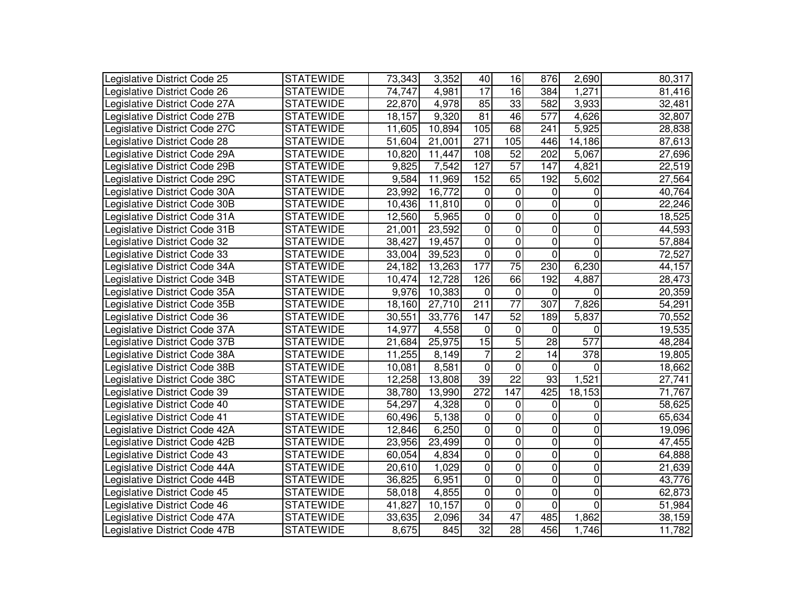| Legislative District Code 25  | <b>STATEWIDE</b> | 73,343 | 3,352  | 40               | 16              | 876            | 2,690            | 80,317 |
|-------------------------------|------------------|--------|--------|------------------|-----------------|----------------|------------------|--------|
| Legislative District Code 26  | <b>STATEWIDE</b> | 74,747 | 4,981  | $\overline{17}$  | 16              | 384            | 1,271            | 81,416 |
| Legislative District Code 27A | <b>STATEWIDE</b> | 22,870 | 4,978  | 85               | 33              | 582            | 3,933            | 32,481 |
| Legislative District Code 27B | <b>STATEWIDE</b> | 18,157 | 9,320  | 81               | 46              | 577            | 4,626            | 32,807 |
| Legislative District Code 27C | <b>STATEWIDE</b> | 11,605 | 10,894 | 105              | 68              | 241            | 5.925            | 28,838 |
| Legislative District Code 28  | <b>STATEWIDE</b> | 51,604 | 21,001 | 271              | 105             | 446            | 14,186           | 87,613 |
| Legislative District Code 29A | <b>STATEWIDE</b> | 10,820 | 11,447 | 108              | 52              | 202            | 5,067            | 27,696 |
| Legislative District Code 29B | <b>STATEWIDE</b> | 9,825  | 7,542  | 127              | $\overline{57}$ | 147            | 4,821            | 22,519 |
| Legislative District Code 29C | <b>STATEWIDE</b> | 9,584  | 11,969 | 152              | 65              | 192            | 5,602            | 27,564 |
| Legislative District Code 30A | <b>STATEWIDE</b> | 23,992 | 16,772 | 0                | 0               | 0              | $\overline{0}$   | 40,764 |
| Legislative District Code 30B | <b>STATEWIDE</b> | 10,436 | 11,810 | $\Omega$         | $\Omega$        | 0              | 0                | 22,246 |
| Legislative District Code 31A | <b>STATEWIDE</b> | 12,560 | 5.965  | 0                | 0               | 0              | 0                | 18,525 |
| Legislative District Code 31B | <b>STATEWIDE</b> | 21,001 | 23,592 | 0                | 0               | 0              | 0                | 44,593 |
| Legislative District Code 32  | <b>STATEWIDE</b> | 38,427 | 19,457 | 0                | 0               | 0              | 0                | 57,884 |
| Legislative District Code 33  | <b>STATEWIDE</b> | 33,004 | 39,523 | 0                | $\overline{0}$  | 0              | 0                | 72,527 |
| Legislative District Code 34A | <b>STATEWIDE</b> | 24,182 | 13,263 | 177              | $\overline{75}$ | 230            | 6,230            | 44,157 |
| Legislative District Code 34B | <b>STATEWIDE</b> | 10,474 | 12,728 | 126              | 66              | 192            | 4,887            | 28,473 |
| Legislative District Code 35A | <b>STATEWIDE</b> | 9,976  | 10,383 | 0                | $\mathbf 0$     | 0              | $\Omega$         | 20,359 |
| Legislative District Code 35B | <b>STATEWIDE</b> | 18,160 | 27,710 | 211              | $\overline{77}$ | 307            | 7,826            | 54,291 |
| Legislative District Code 36  | <b>STATEWIDE</b> | 30,551 | 33,776 | 147              | 52              | 189            | 5,837            | 70,552 |
| Legislative District Code 37A | <b>STATEWIDE</b> | 14,977 | 4,558  | 0                | 0               | 0              | $\mathbf 0$      | 19,535 |
| Legislative District Code 37B | <b>STATEWIDE</b> | 21,684 | 25,975 | 15               | $\overline{5}$  | 28             | $\overline{577}$ | 48,284 |
| Legislative District Code 38A | <b>STATEWIDE</b> | 11,255 | 8,149  | $\overline{7}$   | $\mathbf 2$     | 14             | 378              | 19,805 |
| Legislative District Code 38B | <b>STATEWIDE</b> | 10,081 | 8,581  | $\mathbf 0$      | 0               | $\mathbf 0$    | $\overline{0}$   | 18,662 |
| Legislative District Code 38C | <b>STATEWIDE</b> | 12,258 | 13,808 | 39               | 22              | 93             | 1,521            | 27,741 |
| Legislative District Code 39  | <b>STATEWIDE</b> | 38,780 | 13,990 | $\overline{272}$ | 147             | 425            | 18,153           | 71,767 |
| Legislative District Code 40  | <b>STATEWIDE</b> | 54,297 | 4,328  | 0                | 0               | 0              | 0                | 58,625 |
| Legislative District Code 41  | <b>STATEWIDE</b> | 60,496 | 5,138  | $\mathbf 0$      | 0               | 0              | 0                | 65,634 |
| Legislative District Code 42A | <b>STATEWIDE</b> | 12,846 | 6,250  | 0                | 0               | 0              | 0                | 19,096 |
| Legislative District Code 42B | <b>STATEWIDE</b> | 23,956 | 23,499 | 0                | 0               | 0              | 0                | 47,455 |
| Legislative District Code 43  | <b>STATEWIDE</b> | 60,054 | 4,834  | 0                | 0               | 0              | 0                | 64,888 |
| Legislative District Code 44A | <b>STATEWIDE</b> | 20,610 | 1,029  | 0                | 0               | 0              | 0                | 21,639 |
| Legislative District Code 44B | <b>STATEWIDE</b> | 36,825 | 6,951  | 0                | 0               | 0              | 0                | 43,776 |
| Legislative District Code 45  | <b>STATEWIDE</b> | 58,018 | 4,855  | 0                | 0               | 0              | 0                | 62,873 |
| Legislative District Code 46  | <b>STATEWIDE</b> | 41,827 | 10,157 | $\mathbf 0$      | 0               | $\overline{0}$ | $\mathbf 0$      | 51,984 |
| Legislative District Code 47A | <b>STATEWIDE</b> | 33,635 | 2,096  | 34               | $\overline{47}$ | 485            | 1,862            | 38,159 |
| Legislative District Code 47B | <b>STATEWIDE</b> | 8,675  | 845    | $\overline{32}$  | 28              | 456            | 1,746            | 11,782 |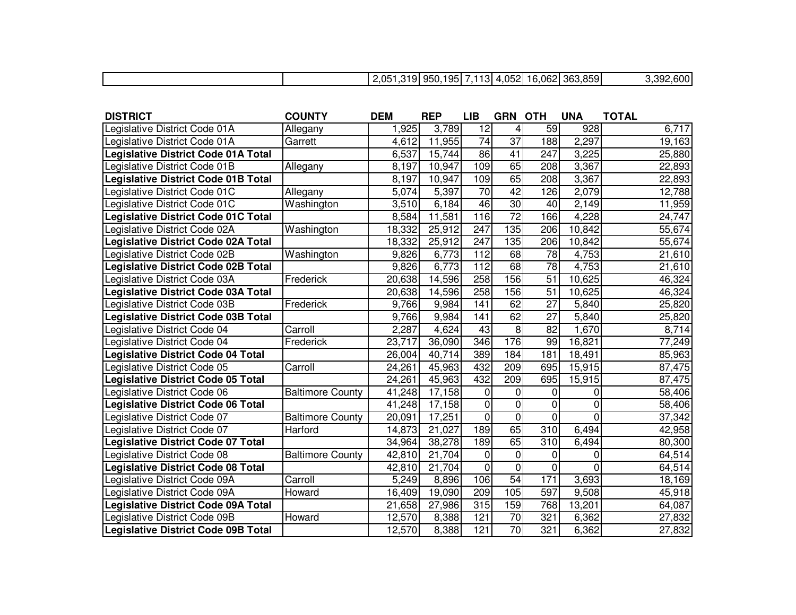|  | 05 D<br>.<br>ل ال.<br>. UJ | റ⊏<br>--<br>950 | . .<br>. ت | $\sim$ $\sim$<br>ハドクー<br>uuz. | .062<br>1 Q<br>ີ | $- - -$<br>363.859 | <b>200</b><br>$\sim$<br>.uuu |
|--|----------------------------|-----------------|------------|-------------------------------|------------------|--------------------|------------------------------|
|  |                            |                 |            |                               |                  |                    |                              |

| <b>DISTRICT</b>                            | <b>COUNTY</b>           | <b>DEM</b> | <b>REP</b> | LIB             | <b>GRN OTH</b>  |                 | <b>UNA</b>     | <b>TOTAL</b> |
|--------------------------------------------|-------------------------|------------|------------|-----------------|-----------------|-----------------|----------------|--------------|
| Legislative District Code 01A              | Allegany                | 1,925      | 3,789      | 12              | 4               | 59              | 928            | 6,717        |
| Legislative District Code 01A              | Garrett                 | 4,612      | 11,955     | $\overline{74}$ | $\overline{37}$ | 188             | 2,297          | 19,163       |
| <b>Legislative District Code 01A Total</b> |                         | 6,537      | 15,744     | 86              | 41              | 247             | 3,225          | 25,880       |
| Legislative District Code 01B              | Allegany                | 8,197      | 10,947     | 109             | 65              | 208             | 3,367          | 22,893       |
| <b>Legislative District Code 01B Total</b> |                         | 8,197      | 10,947     | 109             | 65              | 208             | 3,367          | 22,893       |
| Legislative District Code 01C              | Allegany                | 5,074      | 5,397      | $\overline{70}$ | $\overline{42}$ | 126             | 2,079          | 12,788       |
| Legislative District Code 01C              | Washington              | 3,510      | 6,184      | 46              | $\overline{30}$ | 40              | 2,149          | 11,959       |
| <b>Legislative District Code 01C Total</b> |                         | 8,584      | 11,581     | 116             | $\overline{72}$ | 166             | 4,228          | 24,747       |
| Legislative District Code 02A              | Washington              | 18,332     | 25,912     | 247             | 135             | 206             | 10,842         | 55,674       |
| <b>Legislative District Code 02A Total</b> |                         | 18,332     | 25,912     | 247             | 135             | 206             | 10,842         | 55,674       |
| Legislative District Code 02B              | Washington              | 9,826      | 6,773      | 112             | 68              | $\overline{78}$ | 4,753          | 21,610       |
| <b>Legislative District Code 02B Total</b> |                         | 9,826      | 6,773      | 112             | 68              | $\overline{78}$ | 4,753          | 21,610       |
| Legislative District Code 03A              | Frederick               | 20,638     | 14,596     | 258             | 156             | 51              | 10,625         | 46,324       |
| <b>Legislative District Code 03A Total</b> |                         | 20,638     | 14,596     | 258             | 156             | 51              | 10,625         | 46,324       |
| Legislative District Code 03B              | Frederick               | 9,766      | 9,984      | 141             | 62              | $\overline{27}$ | 5,840          | 25,820       |
| <b>Legislative District Code 03B Total</b> |                         | 9,766      | 9,984      | 141             | 62              | $\overline{27}$ | 5,840          | 25,820       |
| Legislative District Code 04               | Carroll                 | 2,287      | 4,624      | 43              | 8               | $\overline{82}$ | 1,670          | 8,714        |
| Legislative District Code 04               | Frederick               | 23,717     | 36,090     | 346             | 176             | 99              | 16,821         | 77,249       |
| <b>Legislative District Code 04 Total</b>  |                         | 26,004     | 40,714     | 389             | 184             | 181             | 18,491         | 85,963       |
| Legislative District Code 05               | Carroll                 | 24,261     | 45,963     | 432             | 209             | 695             | 15,915         | 87,475       |
| <b>Legislative District Code 05 Total</b>  |                         | 24,261     | 45,963     | 432             | 209             | 695             | 15,915         | 87,475       |
| Legislative District Code 06               | <b>Baltimore County</b> | 41,248     | 17,158     | 0               | 0               | 0               | 0              | 58,406       |
| <b>Legislative District Code 06 Total</b>  |                         | 41,248     | 17,158     | $\pmb{0}$       | 0               | $\overline{0}$  | 0              | 58,406       |
| Legislative District Code 07               | <b>Baltimore County</b> | 20,091     | 17,251     | $\overline{0}$  | $\overline{0}$  | $\overline{0}$  | $\overline{0}$ | 37,342       |
| Legislative District Code 07               | Harford                 | 14,873     | 21,027     | 189             | 65              | 310             | 6,494          | 42,958       |
| <b>Legislative District Code 07 Total</b>  |                         | 34,964     | 38,278     | 189             | 65              | 310             | 6,494          | 80,300       |
| Legislative District Code 08               | <b>Baltimore County</b> | 42,810     | 21,704     | 0               | 0               | 0               | 0              | 64,514       |
| <b>Legislative District Code 08 Total</b>  |                         | 42,810     | 21,704     | $\mathbf 0$     | 0               | 0               | $\overline{0}$ | 64,514       |
| Legislative District Code 09A              | Carroll                 | 5,249      | 8,896      | 106             | 54              | 171             | 3,693          | 18,169       |
| Legislative District Code 09A              | Howard                  | 16,409     | 19,090     | 209             | 105             | 597             | 9,508          | 45,918       |
| <b>Legislative District Code 09A Total</b> |                         | 21,658     | 27,986     | 315             | 159             | 768             | 13,201         | 64,087       |
| Legislative District Code 09B              | Howard                  | 12,570     | 8,388      | 121             | $\overline{70}$ | 321             | 6,362          | 27,832       |
| <b>Legislative District Code 09B Total</b> |                         | 12,570     | 8,388      | 121             | $\overline{70}$ | 321             | 6,362          | 27,832       |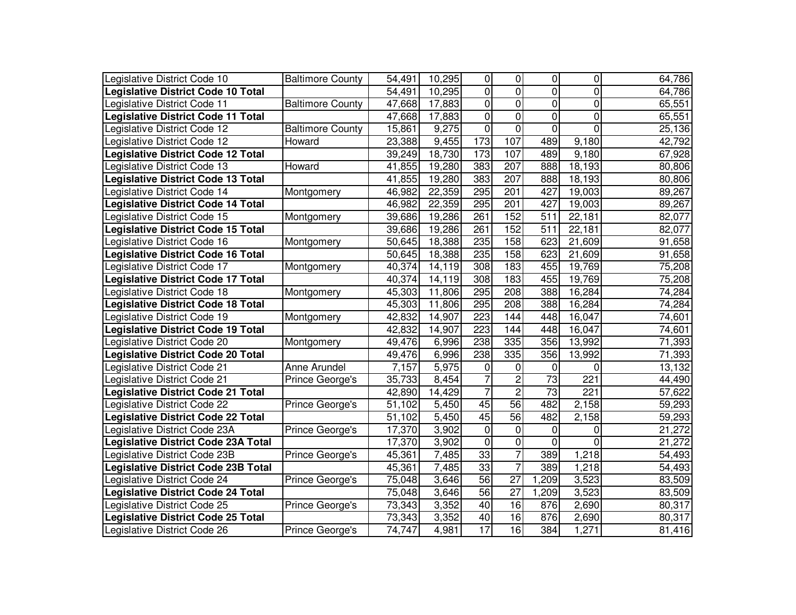| Legislative District Code 10               | <b>Baltimore County</b> | 54,491 | 10,295  | 0              | 0                | 0               | 0              | 64,786 |
|--------------------------------------------|-------------------------|--------|---------|----------------|------------------|-----------------|----------------|--------|
| <b>Legislative District Code 10 Total</b>  |                         | 54,491 | 10,295  | 0              | $\overline{0}$   | $\overline{0}$  | 0              | 64,786 |
| Legislative District Code 11               | <b>Baltimore County</b> | 47,668 | 17,883  | $\overline{0}$ | $\overline{0}$   | $\overline{0}$  | $\overline{0}$ | 65,551 |
| <b>Legislative District Code 11 Total</b>  |                         | 47,668 | 17,883  | 0              | $\overline{0}$   | $\overline{0}$  | 0              | 65,551 |
| Legislative District Code 12               | <b>Baltimore County</b> | 15,861 | 9,275   | 0              | $\overline{0}$   | $\overline{0}$  | 0              | 25,136 |
| Legislative District Code 12               | Howard                  | 23,388 | 9,455   | 173            | 107              | 489             | 9,180          | 42,792 |
| <b>Legislative District Code 12 Total</b>  |                         | 39,249 | 18,730  | 173            | 107              | 489             | 9,180          | 67,928 |
| Legislative District Code 13               | Howard                  | 41,855 | 19,280  | 383            | 207              | 888             | 18,193         | 80,806 |
| <b>Legislative District Code 13 Total</b>  |                         | 41,855 | 19,280  | 383            | 207              | 888             | 18,193         | 80,806 |
| Legislative District Code 14               | Montgomery              | 46,982 | 22,359  | 295            | 201              | 427             | 19,003         | 89,267 |
| <b>Legislative District Code 14 Total</b>  |                         | 46,982 | 22,359  | 295            | $\overline{201}$ | 427             | 19,003         | 89,267 |
| Legislative District Code 15               | Montgomery              | 39,686 | 19,286  | 261            | 152              | 511             | 22,181         | 82,077 |
| <b>Legislative District Code 15 Total</b>  |                         | 39,686 | 19,286  | 261            | 152              | 511             | 22,181         | 82,077 |
| Legislative District Code 16               | Montgomery              | 50,645 | 18,388  | 235            | 158              | 623             | 21,609         | 91,658 |
| <b>Legislative District Code 16 Total</b>  |                         | 50,645 | 18,388  | 235            | 158              | 623             | 21,609         | 91,658 |
| Legislative District Code 17               | Montgomery              | 40,374 | 14,119  | 308            | 183              | 455             | 19,769         | 75,208 |
| <b>Legislative District Code 17 Total</b>  |                         | 40,374 | 14, 119 | 308            | 183              | 455             | 19,769         | 75,208 |
| Legislative District Code 18               | Montgomery              | 45,303 | 11,806  | 295            | 208              | 388             | 16,284         | 74,284 |
| <b>Legislative District Code 18 Total</b>  |                         | 45,303 | 11,806  | 295            | 208              | 388             | 16,284         | 74,284 |
| Legislative District Code 19               | Montgomery              | 42,832 | 14,907  | 223            | 144              | 448             | 16,047         | 74,601 |
| <b>Legislative District Code 19 Total</b>  |                         | 42,832 | 14,907  | 223            | 144              | 448             | 16,047         | 74,601 |
| Legislative District Code 20               | Montgomery              | 49,476 | 6,996   | 238            | 335              | 356             | 13,992         | 71,393 |
| <b>Legislative District Code 20 Total</b>  |                         | 49,476 | 6,996   | 238            | 335              | 356             | 13,992         | 71,393 |
| Legislative District Code 21               | Anne Arundel            | 7,157  | 5,975   | $\mathbf 0$    | 0                | 0               | 0              | 13,132 |
| Legislative District Code 21               | Prince George's         | 35,733 | 8,454   | $\overline{7}$ | $\mathbf 2$      | 73              | 221            | 44,490 |
| <b>Legislative District Code 21 Total</b>  |                         | 42,890 | 14,429  | $\overline{7}$ | $\overline{2}$   | $\overline{73}$ | 221            | 57,622 |
| Legislative District Code 22               | Prince George's         | 51,102 | 5,450   | 45             | 56               | 482             | 2,158          | 59,293 |
| <b>Legislative District Code 22 Total</b>  |                         | 51,102 | 5,450   | 45             | $\overline{56}$  | 482             | 2,158          | 59,293 |
| Legislative District Code 23A              | Prince George's         | 17,370 | 3,902   | $\overline{0}$ | $\pmb{0}$        | 0               | 0              | 21,272 |
| <b>Legislative District Code 23A Total</b> |                         | 17,370 | 3,902   | $\overline{0}$ | $\overline{0}$   | $\overline{0}$  | $\overline{0}$ | 21,272 |
| Legislative District Code 23B              | Prince George's         | 45,361 | 7,485   | 33             | $\overline{7}$   | 389             | 1,218          | 54,493 |
| <b>Legislative District Code 23B Total</b> |                         | 45,361 | 7,485   | 33             | $\overline{7}$   | 389             | 1,218          | 54,493 |
| Legislative District Code 24               | Prince George's         | 75,048 | 3,646   | 56             | $\overline{27}$  | 1,209           | 3,523          | 83,509 |
| <b>Legislative District Code 24 Total</b>  |                         | 75,048 | 3,646   | 56             | 27               | 1,209           | 3,523          | 83,509 |
| Legislative District Code 25               | Prince George's         | 73,343 | 3,352   | 40             | 16               | 876             | 2,690          | 80,317 |
| <b>Legislative District Code 25 Total</b>  |                         | 73,343 | 3,352   | 40             | 16               | 876             | 2,690          | 80,317 |
| Legislative District Code 26               | Prince George's         | 74,747 | 4,981   | 17             | 16               | 384             | 1,271          | 81,416 |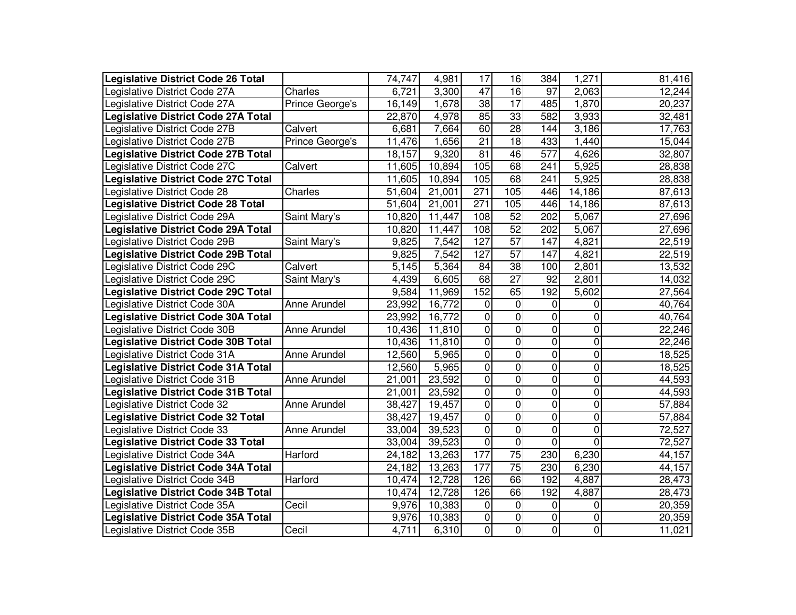| Legislative District Code 26 Total         |                     | 74,747 | 4,981  | 17                      | 16              | 384             | 1,271          | 81,416 |
|--------------------------------------------|---------------------|--------|--------|-------------------------|-----------------|-----------------|----------------|--------|
| Legislative District Code 27A              | Charles             | 6,721  | 3,300  | 47                      | $\overline{16}$ | 97              | 2,063          | 12,244 |
| Legislative District Code 27A              | Prince George's     | 16,149 | 1,678  | $\overline{38}$         | 17              | 485             | 1,870          | 20,237 |
| <b>Legislative District Code 27A Total</b> |                     | 22,870 | 4,978  | 85                      | $\overline{33}$ | 582             | 3,933          | 32,481 |
| Legislative District Code 27B              | Calvert             | 6,681  | 7,664  | 60                      | $\overline{28}$ | 144             | 3,186          | 17,763 |
| Legislative District Code 27B              | Prince George's     | 11,476 | 1,656  | 21                      | $\overline{18}$ | 433             | 1,440          | 15,044 |
| <b>Legislative District Code 27B Total</b> |                     | 18,157 | 9,320  | 81                      | 46              | 577             | 4,626          | 32,807 |
| Legislative District Code 27C              | Calvert             | 11,605 | 10,894 | 105                     | 68              | 241             | 5,925          | 28,838 |
| <b>Legislative District Code 27C Total</b> |                     | 11,605 | 10,894 | 105                     | 68              | 241             | 5,925          | 28,838 |
| Legislative District Code 28               | Charles             | 51,604 | 21,001 | $\overline{271}$        | 105             | 446             | 14,186         | 87,613 |
| <b>Legislative District Code 28 Total</b>  |                     | 51,604 | 21,001 | 271                     | 105             | 446             | 14,186         | 87,613 |
| Legislative District Code 29A              | Saint Mary's        | 10,820 | 11,447 | 108                     | $\overline{52}$ | 202             | 5,067          | 27,696 |
| <b>Legislative District Code 29A Total</b> |                     | 10,820 | 11,447 | 108                     | 52              | 202             | 5,067          | 27,696 |
| Legislative District Code 29B              | Saint Mary's        | 9,825  | 7,542  | 127                     | $\overline{57}$ | 147             | 4,821          | 22,519 |
| <b>Legislative District Code 29B Total</b> |                     | 9,825  | 7,542  | 127                     | 57              | 147             | 4,821          | 22,519 |
| Legislative District Code 29C              | Calvert             | 5,145  | 5,364  | $\overline{84}$         | $\overline{38}$ | 100             | 2,801          | 13,532 |
| Legislative District Code 29C              | Saint Mary's        | 4,439  | 6,605  | 68                      | $\overline{27}$ | $\overline{92}$ | 2,801          | 14,032 |
| <b>Legislative District Code 29C Total</b> |                     | 9,584  | 11,969 | 152                     | 65              | 192             | 5,602          | 27,564 |
| Legislative District Code 30A              | Anne Arundel        | 23,992 | 16,772 | 0                       | 0               | 0               | $\pmb{0}$      | 40,764 |
| <b>Legislative District Code 30A Total</b> |                     | 23,992 | 16,772 | 0                       | $\pmb{0}$       | 0               | $\mathbf 0$    | 40,764 |
| Legislative District Code 30B              | <b>Anne Arundel</b> | 10,436 | 11,810 | $\overline{\mathsf{o}}$ | 0               | 0               | $\mathbf 0$    | 22,246 |
| <b>Legislative District Code 30B Total</b> |                     | 10,436 | 11,810 | $\mathbf 0$             | $\overline{0}$  | 0               | 0              | 22,246 |
| Legislative District Code 31A              | <b>Anne Arundel</b> | 12,560 | 5,965  | O                       | $\overline{0}$  | 0               | 0              | 18,525 |
| <b>Legislative District Code 31A Total</b> |                     | 12,560 | 5,965  | $\overline{\mathsf{o}}$ | $\overline{0}$  | 0               | 0              | 18,525 |
| Legislative District Code 31B              | Anne Arundel        | 21,001 | 23,592 | $\mathbf 0$             | 0               | 0               | 0              | 44,593 |
| <b>Legislative District Code 31B Total</b> |                     | 21,001 | 23,592 | O                       | $\overline{0}$  | $\overline{0}$  | 0              | 44,593 |
| Legislative District Code 32               | Anne Arundel        | 38,427 | 19,457 | O                       | $\overline{0}$  | $\overline{0}$  | 0              | 57,884 |
| <b>Legislative District Code 32 Total</b>  |                     | 38,427 | 19,457 | $\overline{0}$          | $\overline{0}$  | $\overline{0}$  | 0              | 57,884 |
| Legislative District Code 33               | Anne Arundel        | 33,004 | 39,523 | $\overline{0}$          | $\pmb{0}$       | $\overline{0}$  | $\mathbf 0$    | 72,527 |
| <b>Legislative District Code 33 Total</b>  |                     | 33,004 | 39,523 | $\overline{0}$          | $\pmb{0}$       | $\overline{0}$  | $\Omega$       | 72,527 |
| Legislative District Code 34A              | Harford             | 24,182 | 13,263 | 177                     | $\overline{75}$ | 230             | 6,230          | 44,157 |
| <b>Legislative District Code 34A Total</b> |                     | 24,182 | 13,263 | 177                     | $\overline{75}$ | 230             | 6,230          | 44,157 |
| Legislative District Code 34B              | Harford             | 10,474 | 12,728 | 126                     | 66              | 192             | 4,887          | 28,473 |
| <b>Legislative District Code 34B Total</b> |                     | 10,474 | 12,728 | 126                     | 66              | 192             | 4,887          | 28,473 |
| Legislative District Code 35A              | Cecil               | 9,976  | 10,383 | 0                       | 0               | 0               | 0              | 20,359 |
| <b>Legislative District Code 35A Total</b> |                     | 9,976  | 10,383 | 0                       | 0               | 0               | 0              | 20,359 |
| Legislative District Code 35B              | Cecil               | 4,711  | 6,310  | $\overline{0}$          | $\overline{0}$  | $\overline{0}$  | $\overline{0}$ | 11,021 |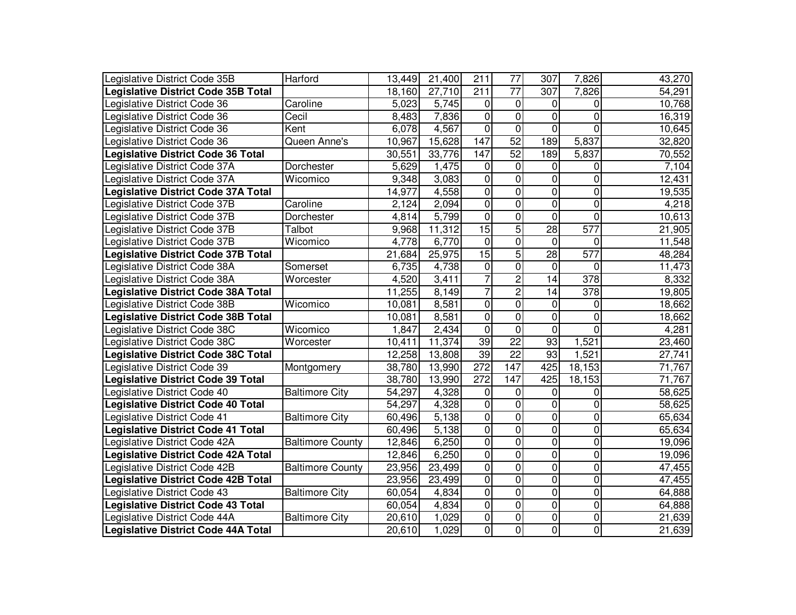| Legislative District Code 35B              | Harford                 | 13,449 | 21,400 | 211              | 77              | 307             | 7,826            | 43,270 |
|--------------------------------------------|-------------------------|--------|--------|------------------|-----------------|-----------------|------------------|--------|
| <b>Legislative District Code 35B Total</b> |                         | 18,160 | 27,710 | 211              | $\overline{77}$ | 307             | 7,826            | 54,291 |
| Legislative District Code 36               | Caroline                | 5,023  | 5,745  | 0                | $\mathbf 0$     | 0               | 0                | 10,768 |
| Legislative District Code 36               | Cecil                   | 8,483  | 7,836  | $\pmb{0}$        | $\mathbf 0$     | 0               | $\mathbf 0$      | 16,319 |
| Legislative District Code 36               | Kent                    | 6,078  | 4,567  | $\mathbf 0$      | $\overline{0}$  | 0               | $\overline{0}$   | 10,645 |
| Legislative District Code 36               | Queen Anne's            | 10,967 | 15,628 | 147              | 52              | 189             | 5,837            | 32,820 |
| <b>Legislative District Code 36 Total</b>  |                         | 30,551 | 33,776 | 147              | 52              | 189             | 5,837            | 70,552 |
| Legislative District Code 37A              | Dorchester              | 5,629  | 1,475  | 0                | $\mathbf 0$     | 0               | 0                | 7,104  |
| Legislative District Code 37A              | Wicomico                | 9,348  | 3,083  | 0                | $\mathbf 0$     | 0               | 0                | 12,431 |
| <b>Legislative District Code 37A Total</b> |                         | 14,977 | 4,558  | 0                | $\overline{0}$  | 0               | $\overline{0}$   | 19,535 |
| Legislative District Code 37B              | Caroline                | 2,124  | 2,094  | $\overline{0}$   | $\overline{0}$  | $\overline{0}$  | $\overline{0}$   | 4,218  |
| Legislative District Code 37B              | Dorchester              | 4,814  | 5,799  | $\overline{0}$   | $\overline{0}$  | $\overline{0}$  | $\overline{0}$   | 10,613 |
| Legislative District Code 37B              | Talbot                  | 9,968  | 11,312 | 15               | $\overline{5}$  | 28              | 577              | 21,905 |
| Legislative District Code 37B              | Wicomico                | 4,778  | 6,770  | $\overline{0}$   | $\overline{0}$  | 0               | 0                | 11,548 |
| <b>Legislative District Code 37B Total</b> |                         | 21,684 | 25,975 | 15               | $\overline{5}$  | 28              | 577              | 48,284 |
| Legislative District Code 38A              | Somerset                | 6,735  | 4,738  | $\overline{0}$   | $\overline{0}$  | 0               | $\mathbf 0$      | 11,473 |
| Legislative District Code 38A              | Worcester               | 4,520  | 3,411  | $\overline{7}$   | $\overline{2}$  | $\overline{14}$ | $\overline{378}$ | 8,332  |
| <b>Legislative District Code 38A Total</b> |                         | 11,255 | 8,149  | $\overline{7}$   | $\overline{2}$  | 14              | $\overline{378}$ | 19,805 |
| Legislative District Code 38B              | Wicomico                | 10,081 | 8,581  | $\pmb{0}$        | $\pmb{0}$       | 0               | 0                | 18,662 |
| <b>Legislative District Code 38B Total</b> |                         | 10,081 | 8,581  | $\pmb{0}$        | $\pmb{0}$       | 0               | $\pmb{0}$        | 18,662 |
| Legislative District Code 38C              | Wicomico                | 1,847  | 2,434  | $\overline{0}$   | $\pmb{0}$       | 0               | $\overline{0}$   | 4,281  |
| Legislative District Code 38C              | Worcester               | 10,411 | 11,374 | $\overline{39}$  | $\overline{22}$ | $\overline{93}$ | 1,521            | 23,460 |
| <b>Legislative District Code 38C Total</b> |                         | 12,258 | 13,808 | $\overline{39}$  | $\overline{22}$ | 93              | 1,521            | 27,741 |
| Legislative District Code 39               | Montgomery              | 38,780 | 13,990 | $\overline{272}$ | 147             | 425             | 18,153           | 71,767 |
| <b>Legislative District Code 39 Total</b>  |                         | 38,780 | 13,990 | 272              | 147             | 425             | 18,153           | 71,767 |
| Legislative District Code 40               | <b>Baltimore City</b>   | 54,297 | 4,328  | $\pmb{0}$        | $\mathbf 0$     | 0               | 0                | 58,625 |
| <b>Legislative District Code 40 Total</b>  |                         | 54,297 | 4,328  | $\overline{0}$   | $\overline{0}$  | 0               | $\pmb{0}$        | 58,625 |
| Legislative District Code 41               | <b>Baltimore City</b>   | 60,496 | 5,138  | $\overline{0}$   | $\overline{0}$  | $\overline{0}$  | $\pmb{0}$        | 65,634 |
| <b>Legislative District Code 41 Total</b>  |                         | 60,496 | 5,138  | $\overline{0}$   | $\pmb{0}$       | $\overline{0}$  | $\pmb{0}$        | 65,634 |
| Legislative District Code 42A              | <b>Baltimore County</b> | 12,846 | 6,250  | $\overline{0}$   | $\pmb{0}$       | $\overline{0}$  | $\pmb{0}$        | 19,096 |
| <b>Legislative District Code 42A Total</b> |                         | 12,846 | 6,250  | $\overline{0}$   | $\pmb{0}$       | $\overline{0}$  | 0                | 19,096 |
| Legislative District Code 42B              | <b>Baltimore County</b> | 23,956 | 23,499 | $\mathbf 0$      | $\mathbf 0$     | 0               | $\mathbf 0$      | 47,455 |
| <b>Legislative District Code 42B Total</b> |                         | 23,956 | 23,499 | $\pmb{0}$        | $\mathbf 0$     | 0               | $\mathbf 0$      | 47,455 |
| Legislative District Code 43               | <b>Baltimore City</b>   | 60,054 | 4,834  | $\overline{0}$   | $\mathbf 0$     | 0               | $\mathbf 0$      | 64,888 |
| <b>Legislative District Code 43 Total</b>  |                         | 60,054 | 4,834  | $\overline{0}$   | $\mathbf 0$     | 0               | $\mathbf 0$      | 64,888 |
| Legislative District Code 44A              | <b>Baltimore City</b>   | 20,610 | 1,029  | 0                | 0               | 0               | $\mathbf 0$      | 21,639 |
| Legislative District Code 44A Total        |                         | 20,610 | 1,029  | $\overline{0}$   | 0               | $\overline{0}$  | $\overline{0}$   | 21,639 |